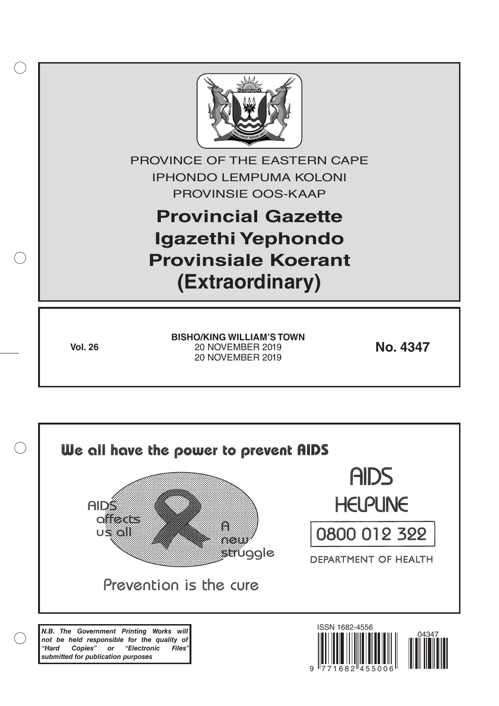

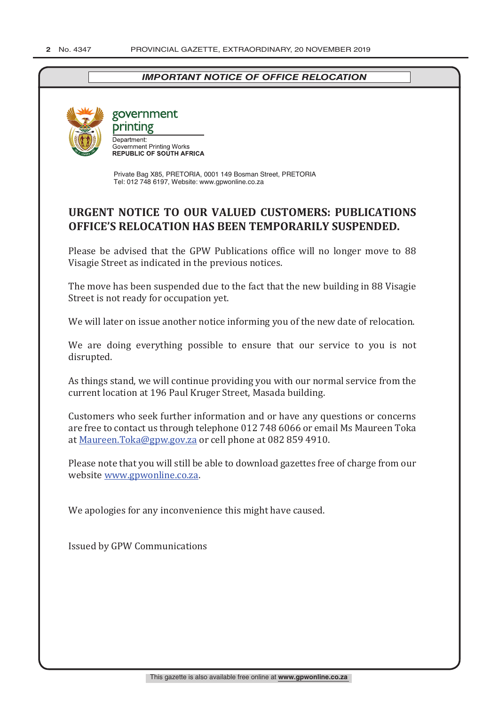### *IMPORTANT NOTICE OF OFFICE RELOCATION*



government printing Department: **Government Printing Works<br>REPUBLIC OF SOUTH AFRICA** 

Private Bag X85, PRETORIA, 0001 149 Bosman Street, PRETORIA Tel: 012 748 6197, Website: www.gpwonline.co.za

# **URGENT NOTICE TO OUR VALUED CUSTOMERS: PUBLICATIONS OFFICE'S RELOCATION HAS BEEN TEMPORARILY SUSPENDED.**

Please be advised that the GPW Publications office will no longer move to 88 Visagie Street as indicated in the previous notices.

The move has been suspended due to the fact that the new building in 88 Visagie Street is not ready for occupation yet.

We will later on issue another notice informing you of the new date of relocation.

We are doing everything possible to ensure that our service to you is not disrupted.

As things stand, we will continue providing you with our normal service from the current location at 196 Paul Kruger Street, Masada building.

Customers who seek further information and or have any questions or concerns are free to contact us through telephone 012 748 6066 or email Ms Maureen Toka at Maureen.Toka@gpw.gov.za or cell phone at 082 859 4910.

Please note that you will still be able to download gazettes free of charge from our website www.gpwonline.co.za.

We apologies for any inconvenience this might have caused.

Issued by GPW Communications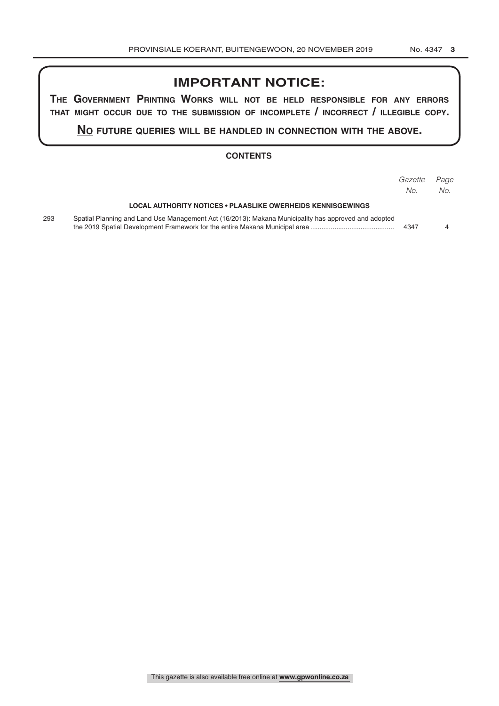## **IMPORTANT NOTICE:**

**The GovernmenT PrinTinG Works Will noT be held resPonsible for any errors ThaT miGhT occur due To The submission of incomPleTe / incorrecT / illeGible coPy.**

**no fuTure queries Will be handled in connecTion WiTh The above.**

#### **CONTENTS**

|     |                                                                                                      | Gazette<br>No. | Page<br>No. |
|-----|------------------------------------------------------------------------------------------------------|----------------|-------------|
|     | <b>LOCAL AUTHORITY NOTICES • PLAASLIKE OWERHEIDS KENNISGEWINGS</b>                                   |                |             |
| 293 | Spatial Planning and Land Use Management Act (16/2013): Makana Municipality has approved and adopted | 4347           |             |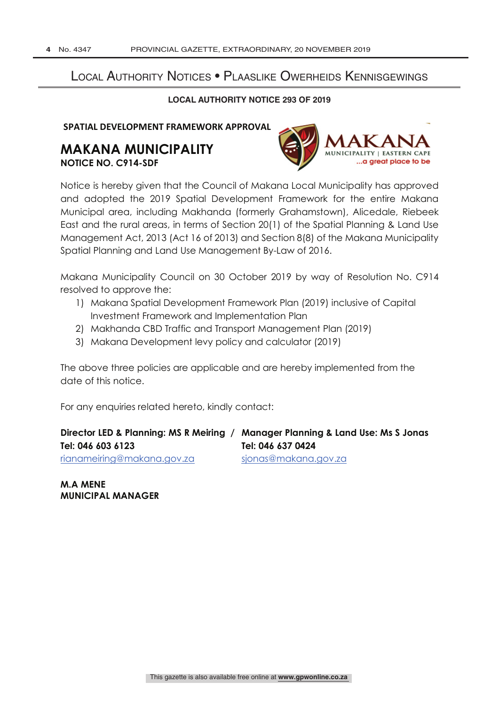# Local Authority Notices • Plaaslike Owerheids Kennisgewings

### **LOCAL AUTHORITY NOTICE 293 OF 2019**

#### **SPATIAL DEVELOPMENT FRAMEWORK APPROVAL**

## **MAKANA MUNICIPALITY NOTICE NO. C914-SDF**



Notice is hereby given that the Council of Makana Local Municipality has approved and adopted the 2019 Spatial Development Framework for the entire Makana Municipal area, including Makhanda (formerly Grahamstown), Alicedale, Riebeek East and the rural areas, in terms of Section 20(1) of the Spatial Planning & Land Use Management Act, 2013 (Act 16 of 2013) and Section 8(8) of the Makana Municipality Spatial Planning and Land Use Management By-Law of 2016.

Makana Municipality Council on 30 October 2019 by way of Resolution No. C914 resolved to approve the:

- 1) Makana Spatial Development Framework Plan (2019) inclusive of Capital Investment Framework and Implementation Plan
- 2) Makhanda CBD Traffic and Transport Management Plan (2019)
- 3) Makana Development levy policy and calculator (2019)

The above three policies are applicable and are hereby implemented from the date of this notice.

For any enquiries related hereto, kindly contact:

|                            | Director LED & Planning: MS R Meiring / Manager Planning & Land Use: Ms S Jonas |
|----------------------------|---------------------------------------------------------------------------------|
| Tel: 046 603 6123          | Tel: 046 637 0424                                                               |
| rianameiring@makana.gov.za | sjonas@makana.gov.za                                                            |

**M.A MENE MUNICIPAL MANAGER**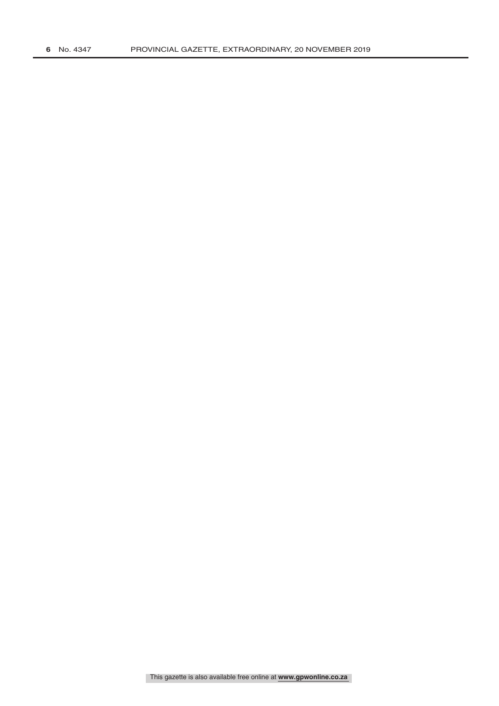This gazette is also available free online at **www.gpwonline.co.za**